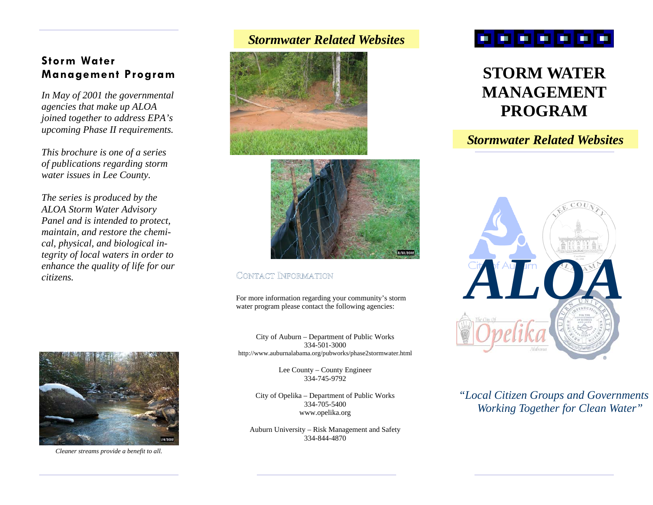# **Storm Water Management Program**

*In May of 2001 the governmental agencies that make up ALOA joined together to address EPA's upcoming Phase II requirements.* 

*This brochure is one of a series of publications regarding storm water issues in Lee County.* 

*The series is produced by the ALOA Storm Water Advisory Panel and is intended to protect, maintain, and restore the chemical, physical, and biological integrity of local waters in order to enhance the quality of life for our citizens.* 



*Cleaner streams provide a benefit to all.* 

# *Stormwater Related Websites*





# CONTACT INFORMATION

For more information regarding your community's storm water program please contact the following agencies:

City of Auburn – Department of Public Works 334-501-3000 http://www.auburnalabama.org/pubworks/phase2stormwater.html

> Lee County – County Engineer 334-745-9792

City of Opelika – Department of Public Works 334-705-5400 www.opelika.org

Auburn University – Risk Management and Safety 334-844-4870

# . . . . .

# **STORM WATER MANAGEMENT PROGRAM**

# *Stormwater Related Websites*



*"Local Citizen Groups and Governments Working Together for Clean Water"*